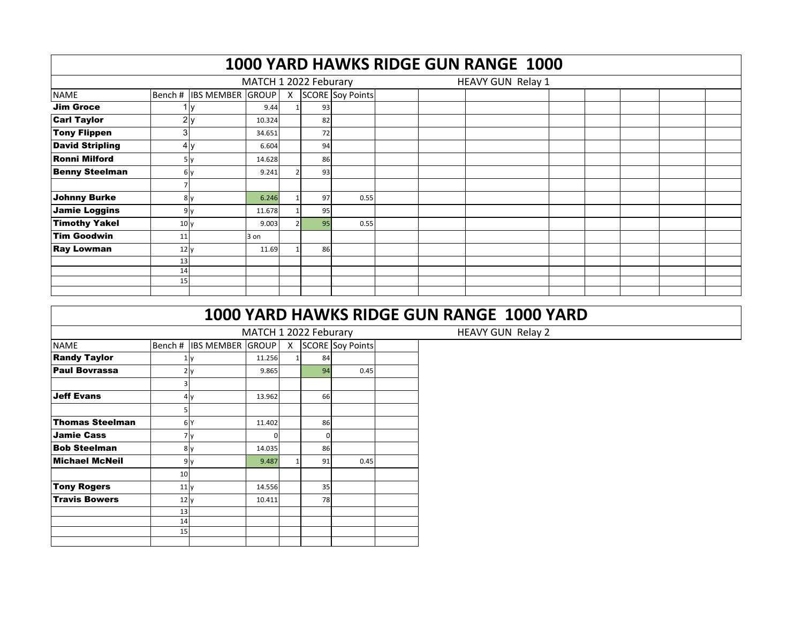|                        |                 |                          |                       |    |                    |  | 1000 YARD HAWKS RIDGE GUN RANGE 1000 |  |  |  |
|------------------------|-----------------|--------------------------|-----------------------|----|--------------------|--|--------------------------------------|--|--|--|
|                        |                 |                          | MATCH 1 2022 Feburary |    |                    |  | HEAVY GUN Relay 1                    |  |  |  |
| <b>NAME</b>            |                 | Bench # IBS MEMBER GROUP |                       |    | X SCORE Soy Points |  |                                      |  |  |  |
| <b>Jim Groce</b>       |                 |                          | 9.44                  | 93 |                    |  |                                      |  |  |  |
| <b>Carl Taylor</b>     |                 | 2y                       | 10.324                | 82 |                    |  |                                      |  |  |  |
| <b>Tony Flippen</b>    | 31              |                          | 34.651                | 72 |                    |  |                                      |  |  |  |
| <b>David Stripling</b> |                 | 4v                       | 6.604                 | 94 |                    |  |                                      |  |  |  |
| <b>Ronni Milford</b>   |                 | 5 <sub>y</sub>           | 14.628                | 86 |                    |  |                                      |  |  |  |
| <b>Benny Steelman</b>  |                 | 6 v                      | 9.241                 | 93 |                    |  |                                      |  |  |  |
|                        |                 |                          |                       |    |                    |  |                                      |  |  |  |
| Johnny Burke           |                 | 8 <sub>V</sub>           | 6.246                 | 97 | 0.55               |  |                                      |  |  |  |
| Jamie Loggins          |                 | 9v                       | 11.678                | 95 |                    |  |                                      |  |  |  |
| <b>Timothy Yakel</b>   | 10 <sub>V</sub> |                          | 9.003                 | 95 | 0.55               |  |                                      |  |  |  |
| <b>Tim Goodwin</b>     | 11              |                          | 3 on                  |    |                    |  |                                      |  |  |  |
| <b>Ray Lowman</b>      | 12 <sub>V</sub> |                          | 11.69                 | 86 |                    |  |                                      |  |  |  |
|                        | 13              |                          |                       |    |                    |  |                                      |  |  |  |
|                        | 14              |                          |                       |    |                    |  |                                      |  |  |  |
|                        | 15              |                          |                       |    |                    |  |                                      |  |  |  |
|                        |                 |                          |                       |    |                    |  |                                      |  |  |  |

|                        |        |                         | MATCH 1 2022 Feburary |   |          |                         |  |  |  |  |
|------------------------|--------|-------------------------|-----------------------|---|----------|-------------------------|--|--|--|--|
| <b>NAME</b>            | Bench# | <b>IBS MEMBER GROUP</b> |                       | X |          | <b>SCORE Soy Points</b> |  |  |  |  |
| <b>Randy Taylor</b>    | 1      | y                       | 11.256                | 1 | 84       |                         |  |  |  |  |
| <b>Paul Bovrassa</b>   |        | 2y                      | 9.865                 |   | 94       | 0.45                    |  |  |  |  |
|                        | 3      |                         |                       |   |          |                         |  |  |  |  |
| <b>Jeff Evans</b>      |        | 4y                      | 13.962                |   | 66       |                         |  |  |  |  |
|                        | 5      |                         |                       |   |          |                         |  |  |  |  |
| <b>Thomas Steelman</b> |        | 6 <sup>Y</sup>          | 11.402                |   | 86       |                         |  |  |  |  |
| <b>Jamie Cass</b>      |        | 7y                      | 0                     |   | $\Omega$ |                         |  |  |  |  |
| <b>Bob Steelman</b>    | 8      | y                       | 14.035                |   | 86       |                         |  |  |  |  |
| <b>Michael McNeil</b>  |        | 9y                      | 9.487                 | 1 | 91       | 0.45                    |  |  |  |  |
|                        | 10     |                         |                       |   |          |                         |  |  |  |  |
| Tony Rogers            | 11y    |                         | 14.556                |   | 35       |                         |  |  |  |  |
| <b>Travis Bowers</b>   | 12y    |                         | 10.411                |   | 78       |                         |  |  |  |  |
|                        | 13     |                         |                       |   |          |                         |  |  |  |  |
|                        | 14     |                         |                       |   |          |                         |  |  |  |  |
|                        | 15     |                         |                       |   |          |                         |  |  |  |  |
|                        |        |                         |                       |   |          |                         |  |  |  |  |

HEAVY GUN Relay 2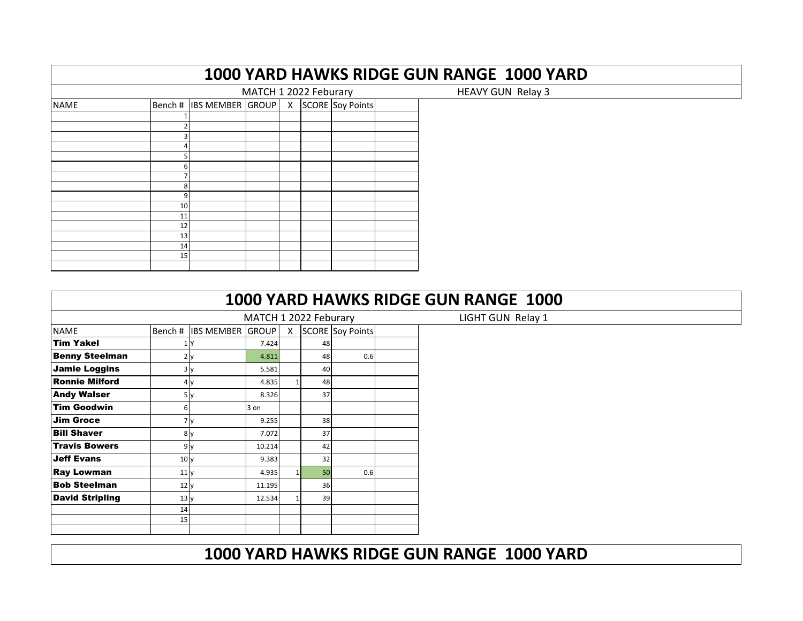|             |          |                         |                       |              |                  |  | 1000 YARD HAWKS RIDGE GUN RANGE 1000 YARD |  |
|-------------|----------|-------------------------|-----------------------|--------------|------------------|--|-------------------------------------------|--|
|             |          |                         | MATCH 1 2022 Feburary |              |                  |  | <b>HEAVY GUN Relay 3</b>                  |  |
| <b>NAME</b> | Bench#   | <b>IBS MEMBER GROUP</b> |                       | $\mathsf{X}$ | SCORE Soy Points |  |                                           |  |
|             |          |                         |                       |              |                  |  |                                           |  |
|             |          |                         |                       |              |                  |  |                                           |  |
|             |          |                         |                       |              |                  |  |                                           |  |
|             |          |                         |                       |              |                  |  |                                           |  |
|             | 6        |                         |                       |              |                  |  |                                           |  |
|             | 8        |                         |                       |              |                  |  |                                           |  |
|             | 9        |                         |                       |              |                  |  |                                           |  |
|             | 10       |                         |                       |              |                  |  |                                           |  |
|             | 11<br>12 |                         |                       |              |                  |  |                                           |  |
|             | 13       |                         |                       |              |                  |  |                                           |  |
|             | 14       |                         |                       |              |                  |  |                                           |  |
|             | 15       |                         |                       |              |                  |  |                                           |  |

|                        |                 |                          |                       |    |                    | 1000 YARD HAWKS RIDGE GUN RANGE 1000 |
|------------------------|-----------------|--------------------------|-----------------------|----|--------------------|--------------------------------------|
|                        |                 |                          | MATCH 1 2022 Feburary |    |                    | LIGHT GUN Relay 1                    |
| <b>NAME</b>            |                 | Bench # IBS MEMBER GROUP |                       |    | X SCORE Soy Points |                                      |
| <b>Tim Yakel</b>       |                 |                          | 7.424                 | 48 |                    |                                      |
| <b>Benny Steelman</b>  |                 |                          | 4.811                 | 48 | 0.6                |                                      |
| <b>Jamie Loggins</b>   |                 | 3y                       | 5.581                 | 40 |                    |                                      |
| <b>Ronnie Milford</b>  |                 | 4 y                      | 4.835                 | 48 |                    |                                      |
| <b>Andy Walser</b>     |                 | 5v                       | 8.326                 | 37 |                    |                                      |
| <b>Tim Goodwin</b>     |                 |                          | 3 on                  |    |                    |                                      |
| <b>Jim Groce</b>       |                 | 7 <sub>y</sub>           | 9.255                 | 38 |                    |                                      |
| <b>Bill Shaver</b>     |                 | 8 <sub>y</sub>           | 7.072                 | 37 |                    |                                      |
| <b>Travis Bowers</b>   |                 | 9v                       | 10.214                | 42 |                    |                                      |
| <b>Jeff Evans</b>      | 10 <sub>y</sub> |                          | 9.383                 | 32 |                    |                                      |
| <b>Ray Lowman</b>      | 11 <sub>V</sub> |                          | 4.935                 | 50 | 0.6                |                                      |
| <b>Bob Steelman</b>    | 12y             |                          | 11.195                | 36 |                    |                                      |
| <b>David Stripling</b> | 13y             |                          | 12.534                | 39 |                    |                                      |
|                        | 14              |                          |                       |    |                    |                                      |
|                        | 15              |                          |                       |    |                    |                                      |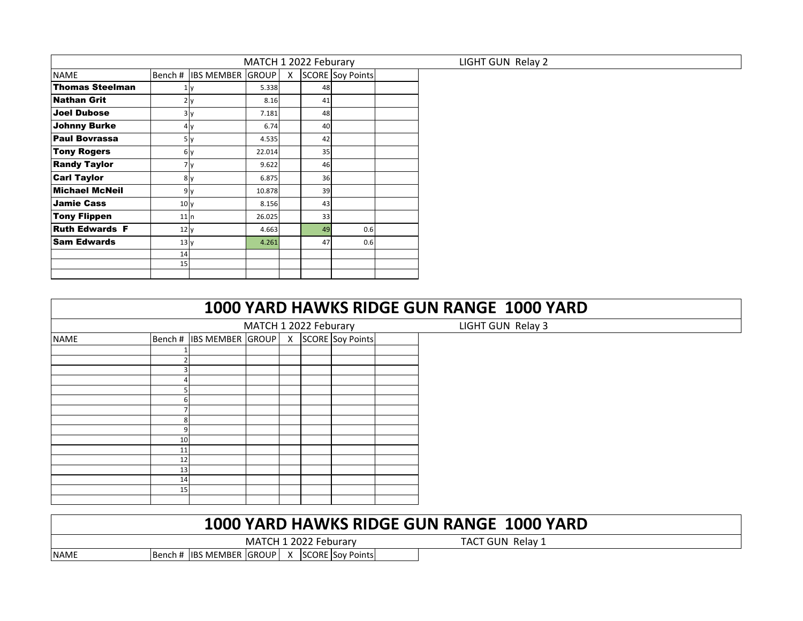|                        |                 |                          | MATCH 1 2022 Feburary |   |    |                         |  |
|------------------------|-----------------|--------------------------|-----------------------|---|----|-------------------------|--|
| <b>NAME</b>            |                 | Bench # IBS MEMBER GROUP |                       | X |    | <b>SCORE</b> Soy Points |  |
| <b>Thomas Steelman</b> |                 | ΠV                       | 5.338                 |   | 48 |                         |  |
| <b>Nathan Grit</b>     |                 | 2 y                      | 8.16                  |   | 41 |                         |  |
| <b>Joel Dubose</b>     |                 | ЗΙ γ                     | 7.181                 |   | 48 |                         |  |
| <b>Johnny Burke</b>    |                 | 4 v                      | 6.74                  |   | 40 |                         |  |
| <b>Paul Bovrassa</b>   |                 | 5 y                      | 4.535                 |   | 42 |                         |  |
| <b>Tony Rogers</b>     |                 | 6 y                      | 22.014                |   | 35 |                         |  |
| <b>Randy Taylor</b>    |                 | 7 Ι ν                    | 9.622                 |   | 46 |                         |  |
| <b>Carl Taylor</b>     |                 | 8 y                      | 6.875                 |   | 36 |                         |  |
| <b>Michael McNeil</b>  |                 | 9 y                      | 10.878                |   | 39 |                         |  |
| <b>Jamie Cass</b>      | 10 <sub>V</sub> |                          | 8.156                 |   | 43 |                         |  |
| <b>Tony Flippen</b>    | 11n             |                          | 26.025                |   | 33 |                         |  |
| <b>Ruth Edwards F</b>  | 12y             |                          | 4.663                 |   | 49 | 0.6                     |  |
| <b>Sam Edwards</b>     | 13y             |                          | 4.261                 |   | 47 | 0.6                     |  |
|                        | 14              |                          |                       |   |    |                         |  |
|                        | 15              |                          |                       |   |    |                         |  |
|                        |                 |                          |                       |   |    |                         |  |

| 1000 YARD HAWKS RIDGE GUN RANGE 1000 YARD |                   |
|-------------------------------------------|-------------------|
| MATCH 1 2022 Feburary                     | LIGHT GUN Relay 3 |

|             |    |                          | MATCH 1 2022 Feburary |              |                         |  |
|-------------|----|--------------------------|-----------------------|--------------|-------------------------|--|
| <b>NAME</b> |    | Bench # IBS MEMBER GROUP |                       | $\mathsf{X}$ | <b>SCORE</b> Soy Points |  |
|             |    |                          |                       |              |                         |  |
|             |    |                          |                       |              |                         |  |
|             | ╕  |                          |                       |              |                         |  |
|             |    |                          |                       |              |                         |  |
|             |    |                          |                       |              |                         |  |
|             | 6  |                          |                       |              |                         |  |
|             |    |                          |                       |              |                         |  |
|             | 8  |                          |                       |              |                         |  |
|             | 9  |                          |                       |              |                         |  |
|             | 10 |                          |                       |              |                         |  |
|             | 11 |                          |                       |              |                         |  |
|             | 12 |                          |                       |              |                         |  |
|             | 13 |                          |                       |              |                         |  |
|             | 14 |                          |                       |              |                         |  |
|             | 15 |                          |                       |              |                         |  |
|             |    |                          |                       |              |                         |  |

|             |                                               | MATCH 1 2022 Feburary |  |  |
|-------------|-----------------------------------------------|-----------------------|--|--|
| <b>NAME</b> | Bench # IBS MEMBER GROUP   X SCORE Sov Points |                       |  |  |

TACT GUN Relay 1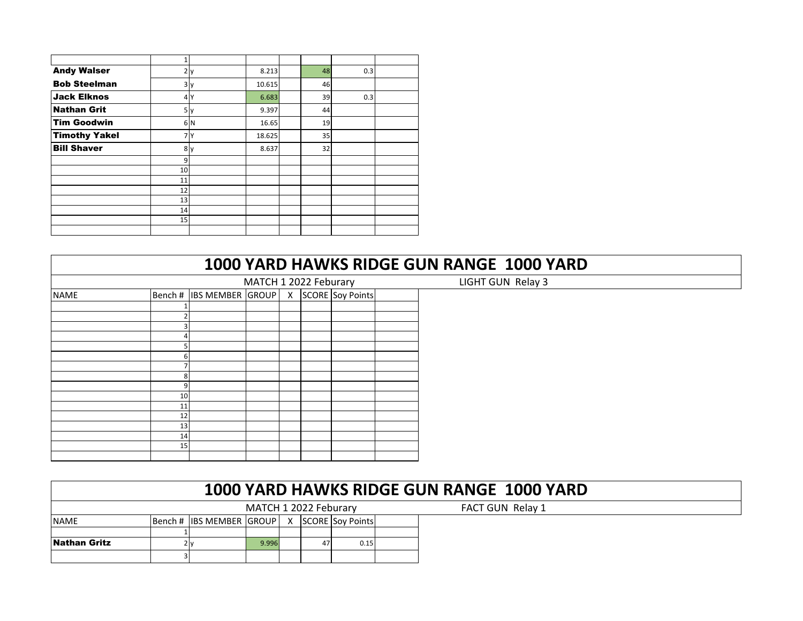| <b>Andy Walser</b>   | 2  | ıY. | 8.213  | 48 | 0.3 |  |
|----------------------|----|-----|--------|----|-----|--|
| <b>Bob Steelman</b>  |    | 3y  | 10.615 | 46 |     |  |
| <b>Jack Elknos</b>   |    | 4 Y | 6.683  | 39 | 0.3 |  |
| <b>Nathan Grit</b>   |    | 5y  | 9.397  | 44 |     |  |
| <b>Tim Goodwin</b>   |    | 6 N | 16.65  | 19 |     |  |
| <b>Timothy Yakel</b> |    | 7 Y | 18.625 | 35 |     |  |
| <b>Bill Shaver</b>   |    | 8 y | 8.637  | 32 |     |  |
|                      | 9  |     |        |    |     |  |
|                      | 10 |     |        |    |     |  |
|                      | 11 |     |        |    |     |  |
|                      | 12 |     |        |    |     |  |
|                      | 13 |     |        |    |     |  |
|                      | 14 |     |        |    |     |  |
|                      | 15 |     |        |    |     |  |
|                      |    |     |        |    |     |  |

|             |    |                                               |                   |  |  | 1000 YARD HAWKS RIDGE GUN RANGE 1000 YARD |
|-------------|----|-----------------------------------------------|-------------------|--|--|-------------------------------------------|
|             |    | MATCH 1 2022 Feburary                         | LIGHT GUN Relay 3 |  |  |                                           |
| <b>NAME</b> |    | Bench # IBS MEMBER GROUP   X SCORE Soy Points |                   |  |  |                                           |
|             |    |                                               |                   |  |  |                                           |
|             |    |                                               |                   |  |  |                                           |
|             |    |                                               |                   |  |  |                                           |
|             |    |                                               |                   |  |  |                                           |
|             |    |                                               |                   |  |  |                                           |
|             | h  |                                               |                   |  |  |                                           |
|             |    |                                               |                   |  |  |                                           |
|             |    |                                               |                   |  |  |                                           |
|             |    |                                               |                   |  |  |                                           |
|             | 10 |                                               |                   |  |  |                                           |
|             | 11 |                                               |                   |  |  |                                           |
|             | 12 |                                               |                   |  |  |                                           |
|             | 13 |                                               |                   |  |  |                                           |
|             | 14 |                                               |                   |  |  |                                           |
|             | 15 |                                               |                   |  |  |                                           |
|             |    |                                               |                   |  |  |                                           |

|              | 1000 YARD HAWKS RIDGE GUN RANGE 1000 YARD |                          |                       |    |  |                         |  |                  |  |  |  |  |  |
|--------------|-------------------------------------------|--------------------------|-----------------------|----|--|-------------------------|--|------------------|--|--|--|--|--|
|              |                                           |                          | MATCH 1 2022 Feburary |    |  |                         |  | FACT GUN Relay 1 |  |  |  |  |  |
| <b>NAME</b>  |                                           | Bench # IBS MEMBER GROUP |                       | X. |  | <b>SCORE Soy Points</b> |  |                  |  |  |  |  |  |
|              |                                           |                          |                       |    |  |                         |  |                  |  |  |  |  |  |
| Nathan Gritz |                                           |                          | 9.996                 |    |  | 0.15                    |  |                  |  |  |  |  |  |
|              |                                           |                          |                       |    |  |                         |  |                  |  |  |  |  |  |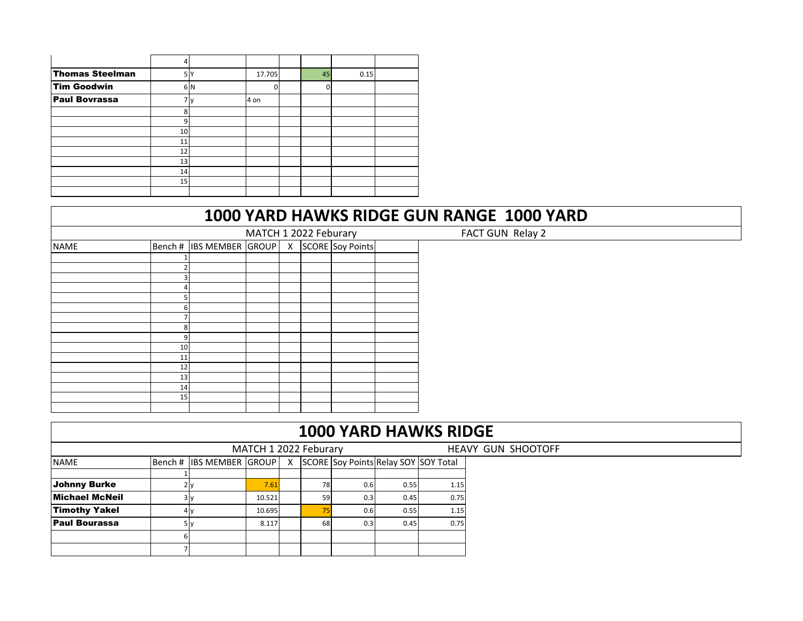| <b>Thomas Steelman</b> | 5  |     | 17.705 | 45 | 0.15 |  |
|------------------------|----|-----|--------|----|------|--|
| <b>Tim Goodwin</b>     |    | 6 N |        | 0  |      |  |
| <b>Paul Bovrassa</b>   |    |     | 4 on   |    |      |  |
|                        | 8  |     |        |    |      |  |
|                        | 9  |     |        |    |      |  |
|                        | 10 |     |        |    |      |  |
|                        | 11 |     |        |    |      |  |
|                        | 12 |     |        |    |      |  |
|                        | 13 |     |        |    |      |  |
|                        | 14 |     |        |    |      |  |
|                        | 15 |     |        |    |      |  |
|                        |    |     |        |    |      |  |

FACT GUN Relay 2

|             |    | MATCH 1 2022 Feburary        |  |  |  |                         |  |  |  |  |  |
|-------------|----|------------------------------|--|--|--|-------------------------|--|--|--|--|--|
| <b>NAME</b> |    | Bench # IBS MEMBER GROUP   X |  |  |  | <b>SCORE</b> Soy Points |  |  |  |  |  |
|             |    |                              |  |  |  |                         |  |  |  |  |  |
|             |    |                              |  |  |  |                         |  |  |  |  |  |
|             |    |                              |  |  |  |                         |  |  |  |  |  |
|             |    |                              |  |  |  |                         |  |  |  |  |  |
|             |    |                              |  |  |  |                         |  |  |  |  |  |
|             | 6  |                              |  |  |  |                         |  |  |  |  |  |
|             |    |                              |  |  |  |                         |  |  |  |  |  |
|             | 8  |                              |  |  |  |                         |  |  |  |  |  |
|             | 9  |                              |  |  |  |                         |  |  |  |  |  |
|             | 10 |                              |  |  |  |                         |  |  |  |  |  |
|             | 11 |                              |  |  |  |                         |  |  |  |  |  |
|             | 12 |                              |  |  |  |                         |  |  |  |  |  |
|             | 13 |                              |  |  |  |                         |  |  |  |  |  |
|             | 14 |                              |  |  |  |                         |  |  |  |  |  |
|             | 15 |                              |  |  |  |                         |  |  |  |  |  |
|             |    |                              |  |  |  |                         |  |  |  |  |  |

|                       | <b>1000 YARD HAWKS RIDGE</b> |                              |        |  |    |     |                                      |      |  |  |  |  |
|-----------------------|------------------------------|------------------------------|--------|--|----|-----|--------------------------------------|------|--|--|--|--|
|                       |                              | <b>HEAVY GUN SHOOTOFF</b>    |        |  |    |     |                                      |      |  |  |  |  |
| <b>NAME</b>           |                              | Bench # IBS MEMBER GROUP   X |        |  |    |     | SCORE Soy Points Relay SOY SOY Total |      |  |  |  |  |
|                       |                              |                              |        |  |    |     |                                      |      |  |  |  |  |
| <b>Johnny Burke</b>   |                              |                              | 7.61   |  | 78 | 0.6 | 0.55                                 | 1.15 |  |  |  |  |
| <b>Michael McNeil</b> |                              | 3١                           | 10.521 |  | 59 | 0.3 | 0.45                                 | 0.75 |  |  |  |  |
| <b>Timothy Yakel</b>  |                              | 4١                           | 10.695 |  |    | 0.6 | 0.55                                 | 1.15 |  |  |  |  |
| <b>Paul Bourassa</b>  |                              | 5١                           | 8.117  |  | 68 | 0.3 | 0.45                                 | 0.75 |  |  |  |  |
|                       |                              |                              |        |  |    |     |                                      |      |  |  |  |  |
|                       |                              |                              |        |  |    |     |                                      |      |  |  |  |  |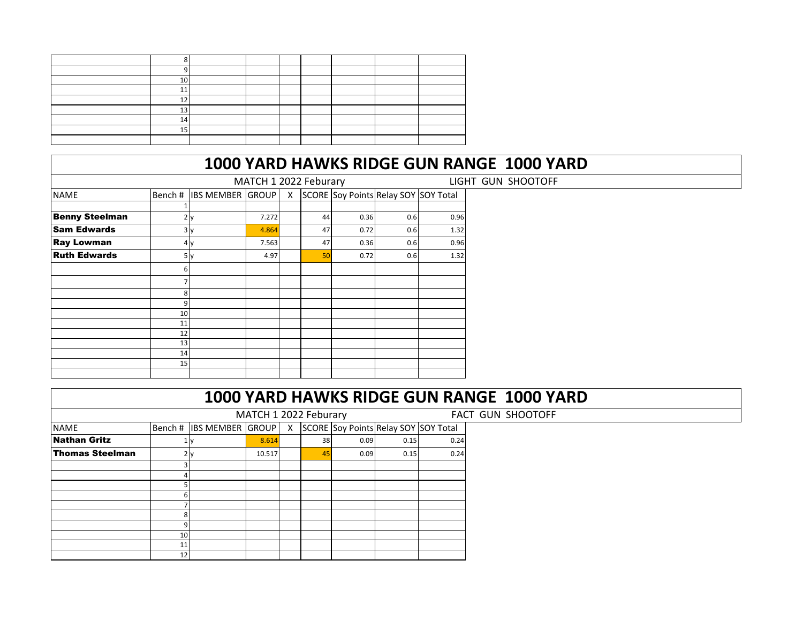| $\sim$      |  |  |  |  |
|-------------|--|--|--|--|
| $\sim$      |  |  |  |  |
| $\sim$      |  |  |  |  |
| $\sim$<br>ᅩ |  |  |  |  |
| 14          |  |  |  |  |
| --          |  |  |  |  |
|             |  |  |  |  |

|                       |                 |                          | MATCH 1 2022 Feburary |              |    |      |                                      |      | LIGHT GUN SHOOTOFF |
|-----------------------|-----------------|--------------------------|-----------------------|--------------|----|------|--------------------------------------|------|--------------------|
| <b>NAME</b>           |                 | Bench # IBS MEMBER GROUP |                       | $\mathsf{X}$ |    |      | SCORE Soy Points Relay SOY SOY Total |      |                    |
|                       |                 |                          |                       |              |    |      |                                      |      |                    |
| <b>Benny Steelman</b> |                 | 2y                       | 7.272                 |              | 44 | 0.36 | 0.6                                  | 0.96 |                    |
| <b>Sam Edwards</b>    |                 | 3 <sub>y</sub>           | 4.864                 |              | 47 | 0.72 | 0.6                                  | 1.32 |                    |
| <b>Ray Lowman</b>     |                 | 4 y                      | 7.563                 |              | 47 | 0.36 | 0.6                                  | 0.96 |                    |
| <b>Ruth Edwards</b>   |                 | 5y                       | 4.97                  |              | 50 | 0.72 | 0.6                                  | 1.32 |                    |
|                       | 61              |                          |                       |              |    |      |                                      |      |                    |
|                       |                 |                          |                       |              |    |      |                                      |      |                    |
|                       | 8               |                          |                       |              |    |      |                                      |      |                    |
|                       | 9               |                          |                       |              |    |      |                                      |      |                    |
|                       | 10 <sup>1</sup> |                          |                       |              |    |      |                                      |      |                    |
|                       | 11              |                          |                       |              |    |      |                                      |      |                    |
|                       | 12              |                          |                       |              |    |      |                                      |      |                    |
|                       | 13              |                          |                       |              |    |      |                                      |      |                    |
|                       | 14              |                          |                       |              |    |      |                                      |      |                    |
|                       | 15              |                          |                       |              |    |      |                                      |      |                    |
|                       |                 |                          |                       |              |    |      |                                      |      |                    |

|                        |    |                          |                       |              |    |      |      |                                      | 1000 YARD HAWKS RIDGE GUN RANGE 1000 YARD |
|------------------------|----|--------------------------|-----------------------|--------------|----|------|------|--------------------------------------|-------------------------------------------|
|                        |    |                          | MATCH 1 2022 Feburary |              |    |      |      |                                      | FACT GUN SHOOTOFF                         |
| <b>NAME</b>            |    | Bench # IBS MEMBER GROUP |                       | $\mathsf{x}$ |    |      |      | SCORE Soy Points Relay SOY SOY Total |                                           |
| <b>Nathan Gritz</b>    |    |                          | 8.614                 |              | 38 | 0.09 | 0.15 | 0.24                                 |                                           |
| <b>Thomas Steelman</b> |    | 2 v                      | 10.517                |              | 45 | 0.09 | 0.15 | 0.24                                 |                                           |
|                        |    |                          |                       |              |    |      |      |                                      |                                           |
|                        |    |                          |                       |              |    |      |      |                                      |                                           |
|                        |    |                          |                       |              |    |      |      |                                      |                                           |
|                        |    |                          |                       |              |    |      |      |                                      |                                           |
|                        |    |                          |                       |              |    |      |      |                                      |                                           |
|                        |    |                          |                       |              |    |      |      |                                      |                                           |
|                        |    |                          |                       |              |    |      |      |                                      |                                           |
|                        | 10 |                          |                       |              |    |      |      |                                      |                                           |
|                        | 11 |                          |                       |              |    |      |      |                                      |                                           |
|                        | 12 |                          |                       |              |    |      |      |                                      |                                           |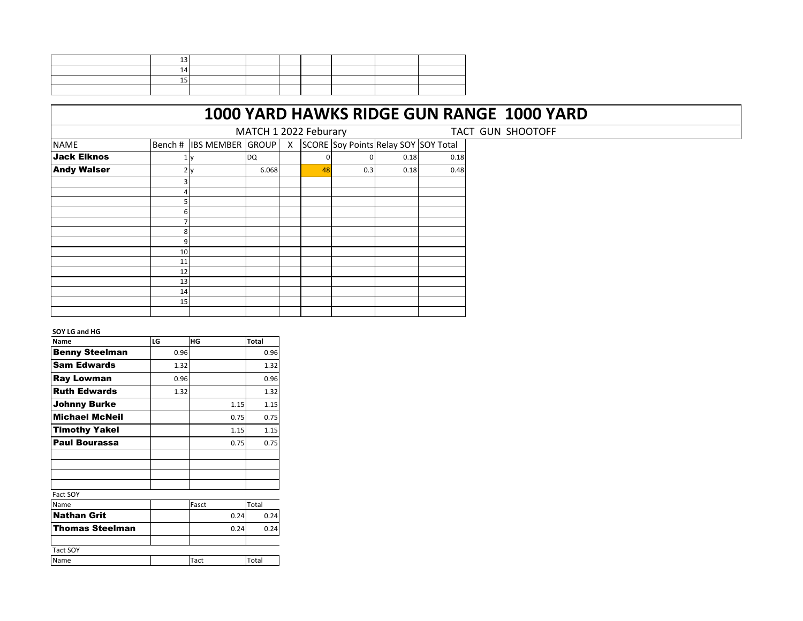|                    |    |                          | MATCH 1 2022 Feburary |              |    |                                      |      |      | TACT GUN SHOOTOFF |
|--------------------|----|--------------------------|-----------------------|--------------|----|--------------------------------------|------|------|-------------------|
| <b>NAME</b>        |    | Bench # IBS MEMBER GROUP |                       | $\mathsf{X}$ |    | SCORE Soy Points Relay SOY SOY Total |      |      |                   |
| <b>Jack Elknos</b> |    |                          | <b>DQ</b>             |              |    |                                      | 0.18 | 0.18 |                   |
| <b>Andy Walser</b> |    | 2y                       | 6.068                 |              | 48 | 0.3                                  | 0.18 | 0.48 |                   |
|                    |    |                          |                       |              |    |                                      |      |      |                   |
|                    |    |                          |                       |              |    |                                      |      |      |                   |
|                    |    |                          |                       |              |    |                                      |      |      |                   |
|                    | n. |                          |                       |              |    |                                      |      |      |                   |
|                    |    |                          |                       |              |    |                                      |      |      |                   |
|                    |    |                          |                       |              |    |                                      |      |      |                   |
|                    |    |                          |                       |              |    |                                      |      |      |                   |
|                    | 10 |                          |                       |              |    |                                      |      |      |                   |
|                    | 11 |                          |                       |              |    |                                      |      |      |                   |
|                    | 12 |                          |                       |              |    |                                      |      |      |                   |
|                    | 13 |                          |                       |              |    |                                      |      |      |                   |
|                    | 14 |                          |                       |              |    |                                      |      |      |                   |
|                    | 15 |                          |                       |              |    |                                      |      |      |                   |
|                    |    |                          |                       |              |    |                                      |      |      |                   |

#### **SOY LG and HG**

| Name                  | LG   | HG    | <b>Total</b> |
|-----------------------|------|-------|--------------|
| <b>Benny Steelman</b> | 0.96 |       | 0.96         |
| <b>Sam Edwards</b>    | 1.32 |       | 1.32         |
| Ray Lowman            | 0.96 |       | 0.96         |
| <b>Ruth Edwards</b>   | 1.32 |       | 1.32         |
| Johnny Burke          |      | 1.15  | 1.15         |
| <b>Michael McNeil</b> |      | 0.75  | 0.75         |
| <b>Timothy Yakel</b>  |      | 1.15  | 1.15         |
| <b>Paul Bourassa</b>  |      | 0.75  | 0.75         |
|                       |      |       |              |
|                       |      |       |              |
|                       |      |       |              |
| Fact SOY              |      |       |              |
| Name                  |      | Fasct | Total        |
| <b>Nathan Grit</b>    |      | 0.24  | 0.24         |
| Thomas Steelman       |      | 0.24  | 0.24         |
|                       |      |       |              |
| <b>Tact SOY</b>       |      |       |              |
| Name                  |      | Tact  | Total        |